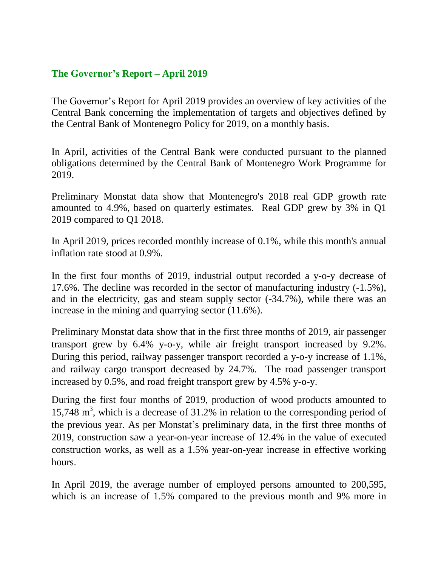## **The Governor's Report – April 2019**

The Governor's Report for April 2019 provides an overview of key activities of the Central Bank concerning the implementation of targets and objectives defined by the Central Bank of Montenegro Policy for 2019, on a monthly basis.

In April, activities of the Central Bank were conducted pursuant to the planned obligations determined by the Central Bank of Montenegro Work Programme for 2019.

Preliminary Monstat data show that Montenegro's 2018 real GDP growth rate amounted to 4.9%, based on quarterly estimates. Real GDP grew by 3% in Q1 2019 compared to Q1 2018.

In April 2019, prices recorded monthly increase of 0.1%, while this month's annual inflation rate stood at 0.9%.

In the first four months of 2019, industrial output recorded a y-o-y decrease of 17.6%. The decline was recorded in the sector of manufacturing industry (-1.5%), and in the electricity, gas and steam supply sector (-34.7%), while there was an increase in the mining and quarrying sector (11.6%).

Preliminary Monstat data show that in the first three months of 2019, air passenger transport grew by 6.4% y-o-y, while air freight transport increased by 9.2%. During this period, railway passenger transport recorded a y-o-y increase of 1.1%, and railway cargo transport decreased by 24.7%. The road passenger transport increased by 0.5%, and road freight transport grew by 4.5% y-o-y.

During the first four months of 2019, production of wood products amounted to 15,748 m 3 , which is a decrease of 31.2% in relation to the corresponding period of the previous year. As per Monstat's preliminary data, in the first three months of 2019, construction saw a year-on-year increase of 12.4% in the value of executed construction works, as well as a 1.5% year-on-year increase in effective working hours.

In April 2019, the average number of employed persons amounted to 200,595, which is an increase of 1.5% compared to the previous month and 9% more in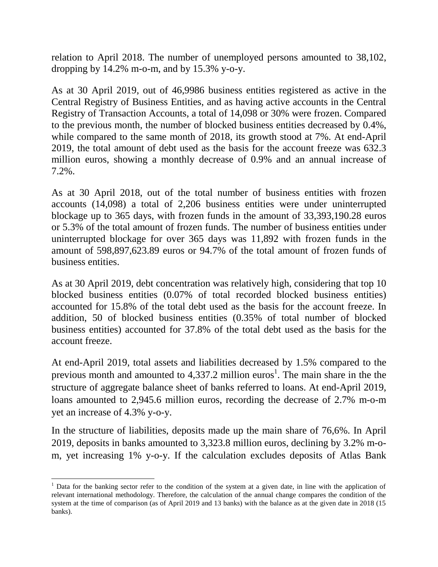relation to April 2018. The number of unemployed persons amounted to 38,102, dropping by  $14.2\%$  m-o-m, and by  $15.3\%$  y-o-y.

As at 30 April 2019, out of 46,9986 business entities registered as active in the Central Registry of Business Entities, and as having active accounts in the Central Registry of Transaction Accounts, a total of 14,098 or 30% were frozen. Compared to the previous month, the number of blocked business entities decreased by 0.4%, while compared to the same month of 2018, its growth stood at 7%. At end-April 2019, the total amount of debt used as the basis for the account freeze was 632.3 million euros, showing a monthly decrease of 0.9% and an annual increase of 7.2%.

As at 30 April 2018, out of the total number of business entities with frozen accounts (14,098) a total of 2,206 business entities were under uninterrupted blockage up to 365 days, with frozen funds in the amount of 33,393,190.28 euros or 5.3% of the total amount of frozen funds. The number of business entities under uninterrupted blockage for over 365 days was 11,892 with frozen funds in the amount of 598,897,623.89 euros or 94.7% of the total amount of frozen funds of business entities.

As at 30 April 2019, debt concentration was relatively high, considering that top 10 blocked business entities (0.07% of total recorded blocked business entities) accounted for 15.8% of the total debt used as the basis for the account freeze. In addition, 50 of blocked business entities (0.35% of total number of blocked business entities) accounted for 37.8% of the total debt used as the basis for the account freeze.

At end-April 2019, total assets and liabilities decreased by 1.5% compared to the previous month and amounted to 4,337.2 million euros<sup>1</sup>. The main share in the the structure of aggregate balance sheet of banks referred to loans. At end-April 2019, loans amounted to 2,945.6 million euros, recording the decrease of 2.7% m-o-m yet an increase of 4.3% y-o-y.

In the structure of liabilities, deposits made up the main share of 76,6%. In April 2019, deposits in banks amounted to 3,323.8 million euros, declining by 3.2% m-om, yet increasing 1% y-o-y. If the calculation excludes deposits of Atlas Bank

 $\overline{\phantom{a}}$ 

<sup>&</sup>lt;sup>1</sup> Data for the banking sector refer to the condition of the system at a given date, in line with the application of relevant international methodology. Therefore, the calculation of the annual change compares the condition of the system at the time of comparison (as of April 2019 and 13 banks) with the balance as at the given date in 2018 (15 banks).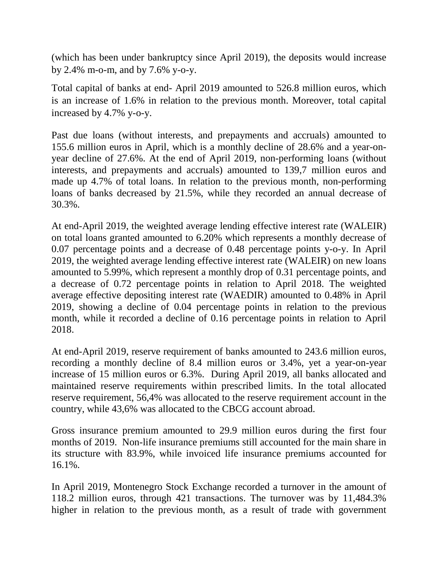(which has been under bankruptcy since April 2019), the deposits would increase by 2.4% m-o-m, and by 7.6% y-o-y.

Total capital of banks at end- April 2019 amounted to 526.8 million euros, which is an increase of 1.6% in relation to the previous month. Moreover, total capital increased by 4.7% y-o-y.

Past due loans (without interests, and prepayments and accruals) amounted to 155.6 million euros in April, which is a monthly decline of 28.6% and a year-onyear decline of 27.6%. At the end of April 2019, non-performing loans (without interests, and prepayments and accruals) amounted to 139,7 million euros and made up 4.7% of total loans. In relation to the previous month, non-performing loans of banks decreased by 21.5%, while they recorded an annual decrease of 30.3%.

At end-April 2019, the weighted average lending effective interest rate (WALEIR) on total loans granted amounted to 6.20% which represents a monthly decrease of 0.07 percentage points and a decrease of 0.48 percentage points y-o-y. In April 2019, the weighted average lending effective interest rate (WALEIR) on new loans amounted to 5.99%, which represent a monthly drop of 0.31 percentage points, and a decrease of 0.72 percentage points in relation to April 2018. The weighted average effective depositing interest rate (WAEDIR) amounted to 0.48% in April 2019, showing a decline of 0.04 percentage points in relation to the previous month, while it recorded a decline of 0.16 percentage points in relation to April 2018.

At end-April 2019, reserve requirement of banks amounted to 243.6 million euros, recording a monthly decline of 8.4 million euros or 3.4%, yet a year-on-year increase of 15 million euros or 6.3%. During April 2019, all banks allocated and maintained reserve requirements within prescribed limits. In the total allocated reserve requirement, 56,4% was allocated to the reserve requirement account in the country, while 43,6% was allocated to the CBCG account abroad.

Gross insurance premium amounted to 29.9 million euros during the first four months of 2019. Non-life insurance premiums still accounted for the main share in its structure with 83.9%, while invoiced life insurance premiums accounted for 16.1%.

In April 2019, Montenegro Stock Exchange recorded a turnover in the amount of 118.2 million euros, through 421 transactions. The turnover was by 11,484.3% higher in relation to the previous month, as a result of trade with government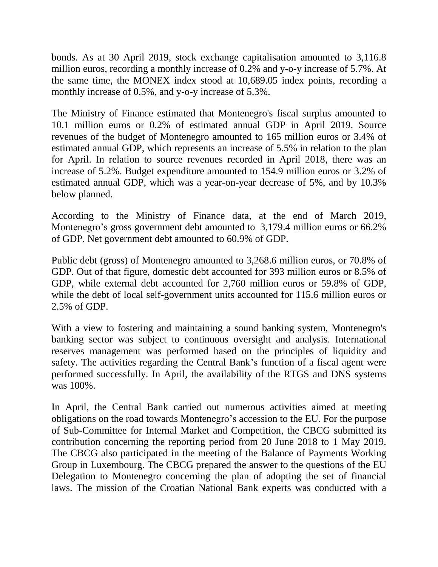bonds. As at 30 April 2019, stock exchange capitalisation amounted to 3,116.8 million euros, recording a monthly increase of 0.2% and y-o-y increase of 5.7%. At the same time, the MONEX index stood at 10,689.05 index points, recording a monthly increase of 0.5%, and y-o-y increase of 5.3%.

The Ministry of Finance estimated that Montenegro's fiscal surplus amounted to 10.1 million euros or 0.2% of estimated annual GDP in April 2019. Source revenues of the budget of Montenegro amounted to 165 million euros or 3.4% of estimated annual GDP, which represents an increase of 5.5% in relation to the plan for April. In relation to source revenues recorded in April 2018, there was an increase of 5.2%. Budget expenditure amounted to 154.9 million euros or 3.2% of estimated annual GDP, which was a year-on-year decrease of 5%, and by 10.3% below planned.

According to the Ministry of Finance data, at the end of March 2019, Montenegro's gross government debt amounted to 3,179.4 million euros or 66.2% of GDP. Net government debt amounted to 60.9% of GDP.

Public debt (gross) of Montenegro amounted to 3,268.6 million euros, or 70.8% of GDP. Out of that figure, domestic debt accounted for 393 million euros or 8.5% of GDP, while external debt accounted for 2,760 million euros or 59.8% of GDP, while the debt of local self-government units accounted for 115.6 million euros or 2.5% of GDP.

With a view to fostering and maintaining a sound banking system, Montenegro's banking sector was subject to continuous oversight and analysis. International reserves management was performed based on the principles of liquidity and safety. The activities regarding the Central Bank's function of a fiscal agent were performed successfully. In April, the availability of the RTGS and DNS systems was 100%.

In April, the Central Bank carried out numerous activities aimed at meeting obligations on the road towards Montenegro's accession to the EU. For the purpose of Sub-Committee for Internal Market and Competition, the CBCG submitted its contribution concerning the reporting period from 20 June 2018 to 1 May 2019. The CBCG also participated in the meeting of the Balance of Payments Working Group in Luxembourg. The CBCG prepared the answer to the questions of the EU Delegation to Montenegro concerning the plan of adopting the set of financial laws. The mission of the Croatian National Bank experts was conducted with a